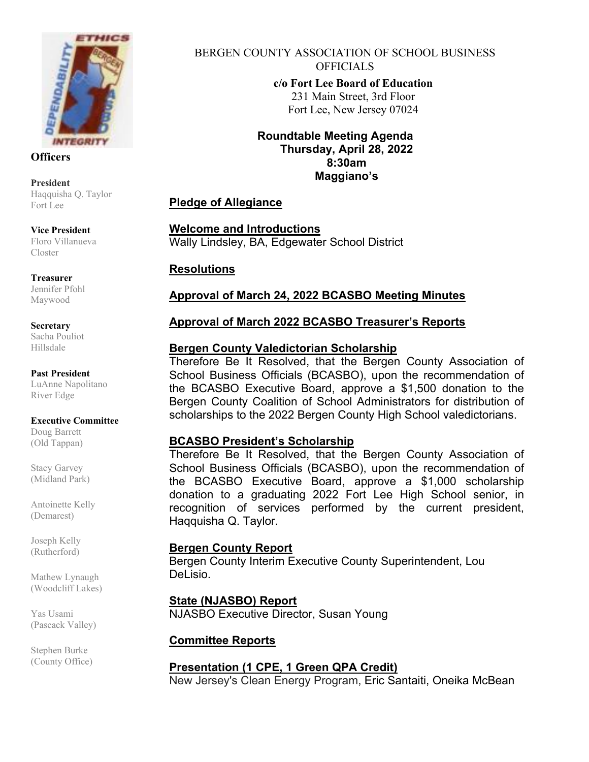

**Officers**

**President** Haqquisha Q. Taylor Fort Lee

**Vice President**  Floro Villanueva Closter

**Treasurer**

Jennifer Pfohl Maywood

**Secretary** Sacha Pouliot Hillsdale

**Past President** LuAnne Napolitano River Edge

#### **Executive Committee**

Doug Barrett (Old Tappan)

Stacy Garvey (Midland Park)

Antoinette Kelly (Demarest)

Joseph Kelly (Rutherford)

Mathew Lynaugh (Woodcliff Lakes)

Yas Usami (Pascack Valley)

Stephen Burke (County Office) BERGEN COUNTY ASSOCIATION OF SCHOOL BUSINESS OFFICIALS **c/o Fort Lee Board of Education**  231 Main Street, 3rd Floor Fort Lee, New Jersey 07024

> **Roundtable Meeting Agenda Thursday, April 28, 2022 8:30am Maggiano's**

# **Pledge of Allegiance**

**Welcome and Introductions**  Wally Lindsley, BA, Edgewater School District

## **Resolutions**

## **Approval of March 24, 2022 BCASBO Meeting Minutes**

## **Approval of March 2022 BCASBO Treasurer's Reports**

## **Bergen County Valedictorian Scholarship**

Therefore Be It Resolved, that the Bergen County Association of School Business Officials (BCASBO), upon the recommendation of the BCASBO Executive Board, approve a \$1,500 donation to the Bergen County Coalition of School Administrators for distribution of scholarships to the 2022 Bergen County High School valedictorians.

### **BCASBO President's Scholarship**

Therefore Be It Resolved, that the Bergen County Association of School Business Officials (BCASBO), upon the recommendation of the BCASBO Executive Board, approve a \$1,000 scholarship donation to a graduating 2022 Fort Lee High School senior, in recognition of services performed by the current president, Haqquisha Q. Taylor.

### **Bergen County Report**

Bergen County Interim Executive County Superintendent, Lou DeLisio.

### **State (NJASBO) Report**

NJASBO Executive Director, Susan Young

### **Committee Reports**

**Presentation (1 CPE, 1 Green QPA Credit)**  New Jersey's Clean Energy Program, Eric Santaiti, Oneika McBean